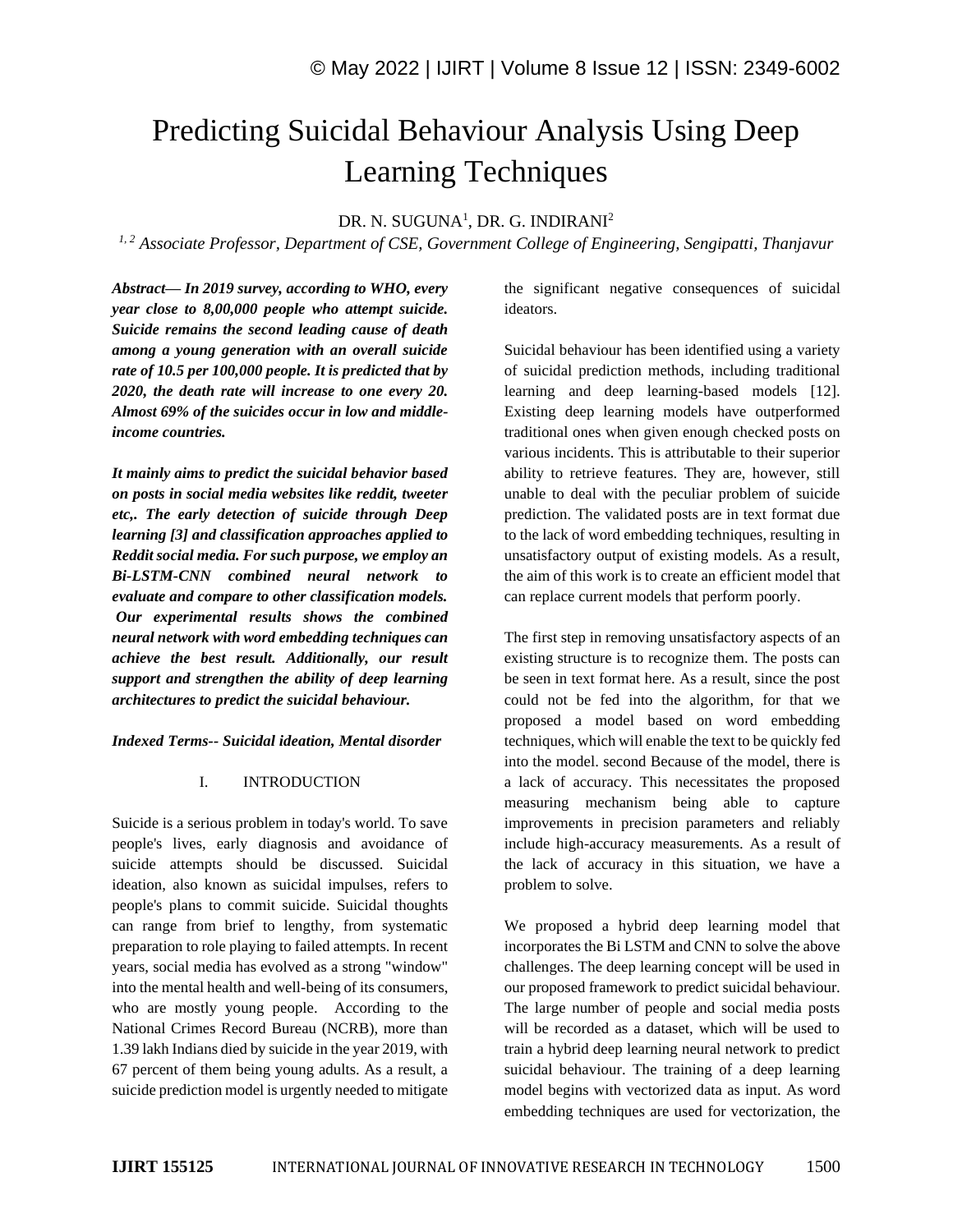# Predicting Suicidal Behaviour Analysis Using Deep Learning Techniques

DR. N. SUGUNA<sup>1</sup>, DR. G. INDIRANI<sup>2</sup>

*1, 2 Associate Professor, Department of CSE, Government College of Engineering, Sengipatti, Thanjavur*

*Abstract— In 2019 survey, according to WHO, every year close to 8,00,000 people who attempt suicide. Suicide remains the second leading cause of death among a young generation with an overall suicide rate of 10.5 per 100,000 people. It is predicted that by 2020, the death rate will increase to one every 20. Almost 69% of the suicides occur in low and middleincome countries.*

*It mainly aims to predict the suicidal behavior based on posts in social media websites like reddit, tweeter etc,. The early detection of suicide through Deep learning [3] and classification approaches applied to Reddit social media. For such purpose, we employ an Bi-LSTM-CNN combined neural network to evaluate and compare to other classification models. Our experimental results shows the combined neural network with word embedding techniques can achieve the best result. Additionally, our result support and strengthen the ability of deep learning architectures to predict the suicidal behaviour.*

## *Indexed Terms-- Suicidal ideation, Mental disorder*

# I. INTRODUCTION

Suicide is a serious problem in today's world. To save people's lives, early diagnosis and avoidance of suicide attempts should be discussed. Suicidal ideation, also known as suicidal impulses, refers to people's plans to commit suicide. Suicidal thoughts can range from brief to lengthy, from systematic preparation to role playing to failed attempts. In recent years, social media has evolved as a strong "window" into the mental health and well-being of its consumers, who are mostly young people. According to the National Crimes Record Bureau (NCRB), more than 1.39 lakh Indians died by suicide in the year 2019, with 67 percent of them being young adults. As a result, a suicide prediction model is urgently needed to mitigate the significant negative consequences of suicidal ideators.

Suicidal behaviour has been identified using a variety of suicidal prediction methods, including traditional learning and deep learning-based models [12]. Existing deep learning models have outperformed traditional ones when given enough checked posts on various incidents. This is attributable to their superior ability to retrieve features. They are, however, still unable to deal with the peculiar problem of suicide prediction. The validated posts are in text format due to the lack of word embedding techniques, resulting in unsatisfactory output of existing models. As a result, the aim of this work is to create an efficient model that can replace current models that perform poorly.

The first step in removing unsatisfactory aspects of an existing structure is to recognize them. The posts can be seen in text format here. As a result, since the post could not be fed into the algorithm, for that we proposed a model based on word embedding techniques, which will enable the text to be quickly fed into the model. second Because of the model, there is a lack of accuracy. This necessitates the proposed measuring mechanism being able to capture improvements in precision parameters and reliably include high-accuracy measurements. As a result of the lack of accuracy in this situation, we have a problem to solve.

We proposed a hybrid deep learning model that incorporates the Bi LSTM and CNN to solve the above challenges. The deep learning concept will be used in our proposed framework to predict suicidal behaviour. The large number of people and social media posts will be recorded as a dataset, which will be used to train a hybrid deep learning neural network to predict suicidal behaviour. The training of a deep learning model begins with vectorized data as input. As word embedding techniques are used for vectorization, the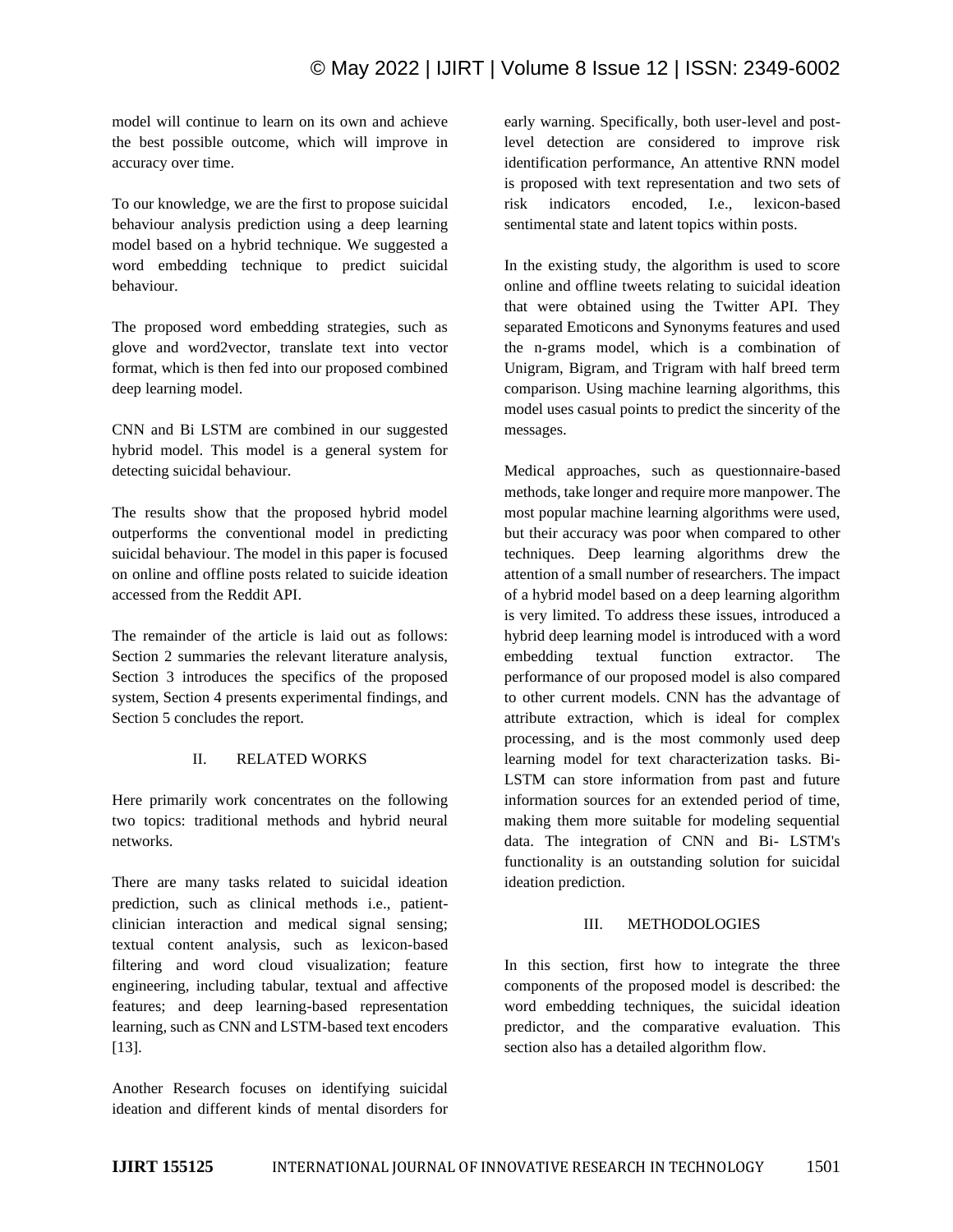model will continue to learn on its own and achieve the best possible outcome, which will improve in accuracy over time.

To our knowledge, we are the first to propose suicidal behaviour analysis prediction using a deep learning model based on a hybrid technique. We suggested a word embedding technique to predict suicidal behaviour.

The proposed word embedding strategies, such as glove and word2vector, translate text into vector format, which is then fed into our proposed combined deep learning model.

CNN and Bi LSTM are combined in our suggested hybrid model. This model is a general system for detecting suicidal behaviour.

The results show that the proposed hybrid model outperforms the conventional model in predicting suicidal behaviour. The model in this paper is focused on online and offline posts related to suicide ideation accessed from the Reddit API.

The remainder of the article is laid out as follows: Section 2 summaries the relevant literature analysis, Section 3 introduces the specifics of the proposed system, Section 4 presents experimental findings, and Section 5 concludes the report.

# II. RELATED WORKS

Here primarily work concentrates on the following two topics: traditional methods and hybrid neural networks.

There are many tasks related to suicidal ideation prediction, such as clinical methods i.e., patientclinician interaction and medical signal sensing; textual content analysis, such as lexicon-based filtering and word cloud visualization; feature engineering, including tabular, textual and affective features; and deep learning-based representation learning, such as CNN and LSTM-based text encoders [13].

Another Research focuses on identifying suicidal ideation and different kinds of mental disorders for early warning. Specifically, both user-level and postlevel detection are considered to improve risk identification performance, An attentive RNN model is proposed with text representation and two sets of risk indicators encoded, I.e., lexicon-based sentimental state and latent topics within posts.

In the existing study, the algorithm is used to score online and offline tweets relating to suicidal ideation that were obtained using the Twitter API. They separated Emoticons and Synonyms features and used the n-grams model, which is a combination of Unigram, Bigram, and Trigram with half breed term comparison. Using machine learning algorithms, this model uses casual points to predict the sincerity of the messages.

Medical approaches, such as questionnaire-based methods, take longer and require more manpower. The most popular machine learning algorithms were used, but their accuracy was poor when compared to other techniques. Deep learning algorithms drew the attention of a small number of researchers. The impact of a hybrid model based on a deep learning algorithm is very limited. To address these issues, introduced a hybrid deep learning model is introduced with a word embedding textual function extractor. The performance of our proposed model is also compared to other current models. CNN has the advantage of attribute extraction, which is ideal for complex processing, and is the most commonly used deep learning model for text characterization tasks. Bi-LSTM can store information from past and future information sources for an extended period of time, making them more suitable for modeling sequential data. The integration of CNN and Bi- LSTM's functionality is an outstanding solution for suicidal ideation prediction.

# III. METHODOLOGIES

In this section, first how to integrate the three components of the proposed model is described: the word embedding techniques, the suicidal ideation predictor, and the comparative evaluation. This section also has a detailed algorithm flow.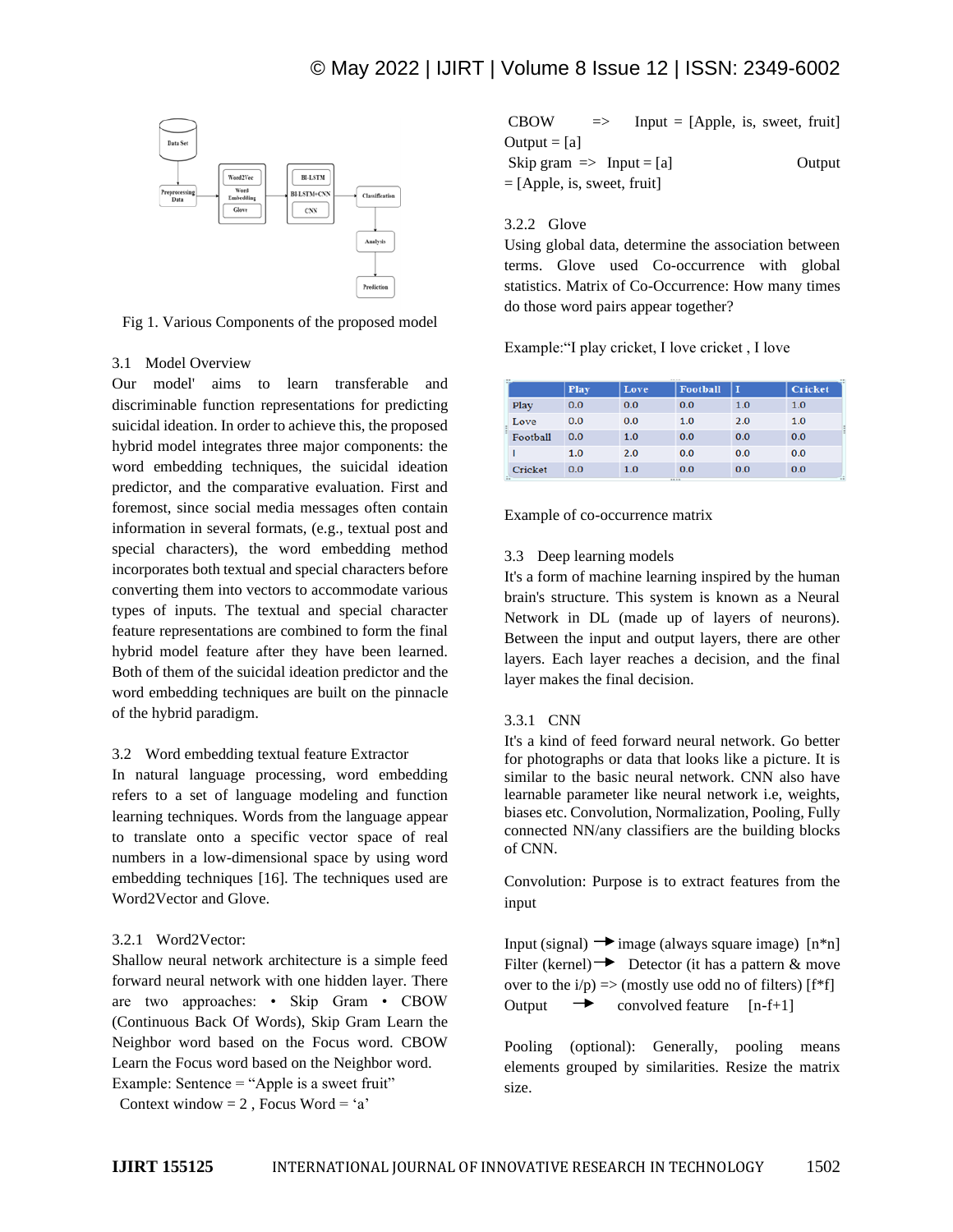

Fig 1. Various Components of the proposed model

### 3.1 Model Overview

Our model' aims to learn transferable and discriminable function representations for predicting suicidal ideation. In order to achieve this, the proposed hybrid model integrates three major components: the word embedding techniques, the suicidal ideation predictor, and the comparative evaluation. First and foremost, since social media messages often contain information in several formats, (e.g., textual post and special characters), the word embedding method incorporates both textual and special characters before converting them into vectors to accommodate various types of inputs. The textual and special character feature representations are combined to form the final hybrid model feature after they have been learned. Both of them of the suicidal ideation predictor and the word embedding techniques are built on the pinnacle of the hybrid paradigm.

## 3.2 Word embedding textual feature Extractor

In natural language processing, word embedding refers to a set of language modeling and function learning techniques. Words from the language appear to translate onto a specific vector space of real numbers in a low-dimensional space by using word embedding techniques [16]. The techniques used are Word2Vector and Glove.

## 3.2.1 Word2Vector:

Shallow neural network architecture is a simple feed forward neural network with one hidden layer. There are two approaches: • Skip Gram • CBOW (Continuous Back Of Words), Skip Gram Learn the Neighbor word based on the Focus word. CBOW Learn the Focus word based on the Neighbor word. Example: Sentence = "Apple is a sweet fruit"

Context window =  $2$ , Focus Word = 'a'

|                                     | $Input = [Apple, is, sweet, fruit]$ |
|-------------------------------------|-------------------------------------|
|                                     |                                     |
| Skip gram $\Rightarrow$ Input = [a] | Output                              |
| $=$ [Apple, is, sweet, fruit]       |                                     |
|                                     |                                     |

## 3.2.2 Glove

Using global data, determine the association between terms. Glove used Co-occurrence with global statistics. Matrix of Co-Occurrence: How many times do those word pairs appear together?

Example:"I play cricket, I love cricket , I love

|          | Play | Love | <b>Football</b> | П   | <b>Cricket</b> |  |  |  |
|----------|------|------|-----------------|-----|----------------|--|--|--|
| Play     | 0.0  | 0.0  | 0.0             | 1.0 | 1.0            |  |  |  |
| Love     | 0.0  | 0.0  | 1.0             | 2.0 | 1.0            |  |  |  |
| Football | 0.0  | 1.0  | 0.0             | 0.0 | 0.0            |  |  |  |
|          | 1.0  | 2.0  | 0.0             | 0.0 | 0.0            |  |  |  |
| Cricket  | 0.0  | 1.0  | 0.0             | 0.0 | 0.0<br>-1      |  |  |  |

Example of co-occurrence matrix

### 3.3 Deep learning models

It's a form of machine learning inspired by the human brain's structure. This system is known as a Neural Network in DL (made up of layers of neurons). Between the input and output layers, there are other layers. Each layer reaches a decision, and the final layer makes the final decision.

## 3.3.1 CNN

It's a kind of feed forward neural network. Go better for photographs or data that looks like a picture. It is similar to the basic neural network. CNN also have learnable parameter like neural network i.e, weights, biases etc. Convolution, Normalization, Pooling, Fully connected NN/any classifiers are the building blocks of CNN.

Convolution: Purpose is to extract features from the input

Input (signal)  $\rightarrow$  image (always square image) [n\*n] Filter (kernel)  $\rightarrow$  Detector (it has a pattern & move over to the  $i/p \implies$  (mostly use odd no of filters) [f<sup>\*f]</sup>] Output  $\rightarrow$  convolved feature [n-f+1]

Pooling (optional): Generally, pooling means elements grouped by similarities. Resize the matrix size.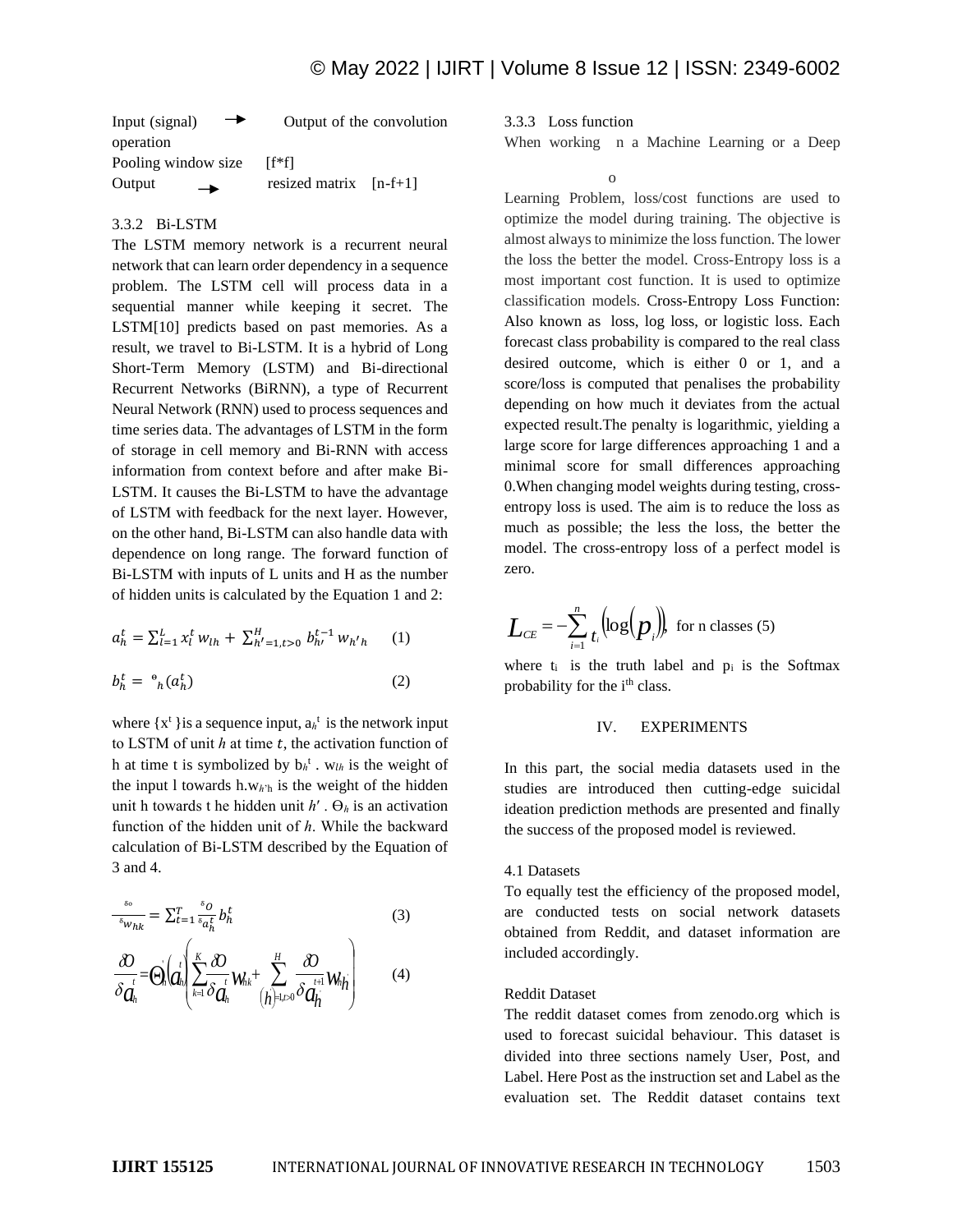| $\rightarrow$<br>Input (signal) | Output of the convolution |
|---------------------------------|---------------------------|
| operation                       |                           |
| Pooling window size             | [f*f]                     |
| Output<br>$\rightarrow$         | resized matrix $[n-f+1]$  |

#### 3.3.2 Bi-LSTM

The LSTM memory network is a recurrent neural network that can learn order dependency in a sequence problem. The LSTM cell will process data in a sequential manner while keeping it secret. The LSTM[10] predicts based on past memories. As a result, we travel to Bi-LSTM. It is a hybrid of Long Short-Term Memory (LSTM) and Bi-directional Recurrent Networks (BiRNN), a type of Recurrent Neural Network (RNN) used to process sequences and time series data. The advantages of LSTM in the form of storage in cell memory and Bi-RNN with access information from context before and after make Bi-LSTM. It causes the Bi-LSTM to have the advantage of LSTM with feedback for the next layer. However, on the other hand, Bi-LSTM can also handle data with dependence on long range. The forward function of Bi-LSTM with inputs of L units and H as the number of hidden units is calculated by the Equation 1 and 2:

$$
a_h^t = \sum_{l=1}^L x_l^t w_{lh} + \sum_{h'=1, t>0}^H b_{h'}^{t-1} w_{h'h} \qquad (1)
$$
  

$$
b_h^t = \,^{\circ}{}_{h}(a_h^t) \qquad (2)
$$

where  $\{x^t\}$  is a sequence input,  $a_h^t$  is the network input to LSTM of unit  $h$  at time  $t$ , the activation function of h at time t is symbolized by  $b_h^t$ . w<sub>lh</sub> is the weight of the input l towards h.w $h$ 'h is the weight of the hidden unit h towards t he hidden unit  $h'$ .  $\Theta_h$  is an activation function of the hidden unit of  $h$ . While the backward calculation of Bi-LSTM described by the Equation of 3 and 4.

$$
\frac{\partial}{\partial w_{hk}} = \sum_{t=1}^{T} \frac{\partial}{\partial a_h^t} b_h^t
$$
\n
$$
\frac{\partial}{\partial \dot{a}_h^t} = \Theta_h \left( \frac{1}{d_h} \left( \sum_{k=1}^{K} \frac{\partial}{\partial a_h^t} W_{hk} + \sum_{j=1}^{H} \frac{\partial}{\partial a_h^{t+1}} W_{hj} \right) \right)
$$
\n(3)

3.3.3 Loss function

o

When working n a Machine Learning or a Deep

Learning Problem, loss/cost functions are used to optimize the model during training. The objective is almost always to minimize the loss function. The lower the loss the better the model. Cross-Entropy loss is a most important cost function. It is used to optimize classification models. Cross-Entropy Loss Function: Also known as loss, log loss, or logistic loss. Each forecast class probability is compared to the real class desired outcome, which is either 0 or 1, and a score/loss is computed that penalises the probability depending on how much it deviates from the actual expected result.The penalty is logarithmic, yielding a large score for large differences approaching 1 and a minimal score for small differences approaching 0.When changing model weights during testing, crossentropy loss is used. The aim is to reduce the loss as much as possible; the less the loss, the better the model. The cross-entropy loss of a perfect model is zero.

$$
L_{CE} = -\sum_{i=1}^{n} t_i \Big( \log(p_i) \Big) \text{ for n classes (5)}
$$

where  $t_i$  is the truth label and  $p_i$  is the Softmax probability for the i<sup>th</sup> class.

#### IV. EXPERIMENTS

In this part, the social media datasets used in the studies are introduced then cutting-edge suicidal ideation prediction methods are presented and finally the success of the proposed model is reviewed.

## 4.1 Datasets

To equally test the efficiency of the proposed model, are conducted tests on social network datasets obtained from Reddit, and dataset information are included accordingly.

#### Reddit Dataset

The reddit dataset comes from zenodo.org which is used to forecast suicidal behaviour. This dataset is divided into three sections namely User, Post, and Label. Here Post as the instruction set and Label as the evaluation set. The Reddit dataset contains text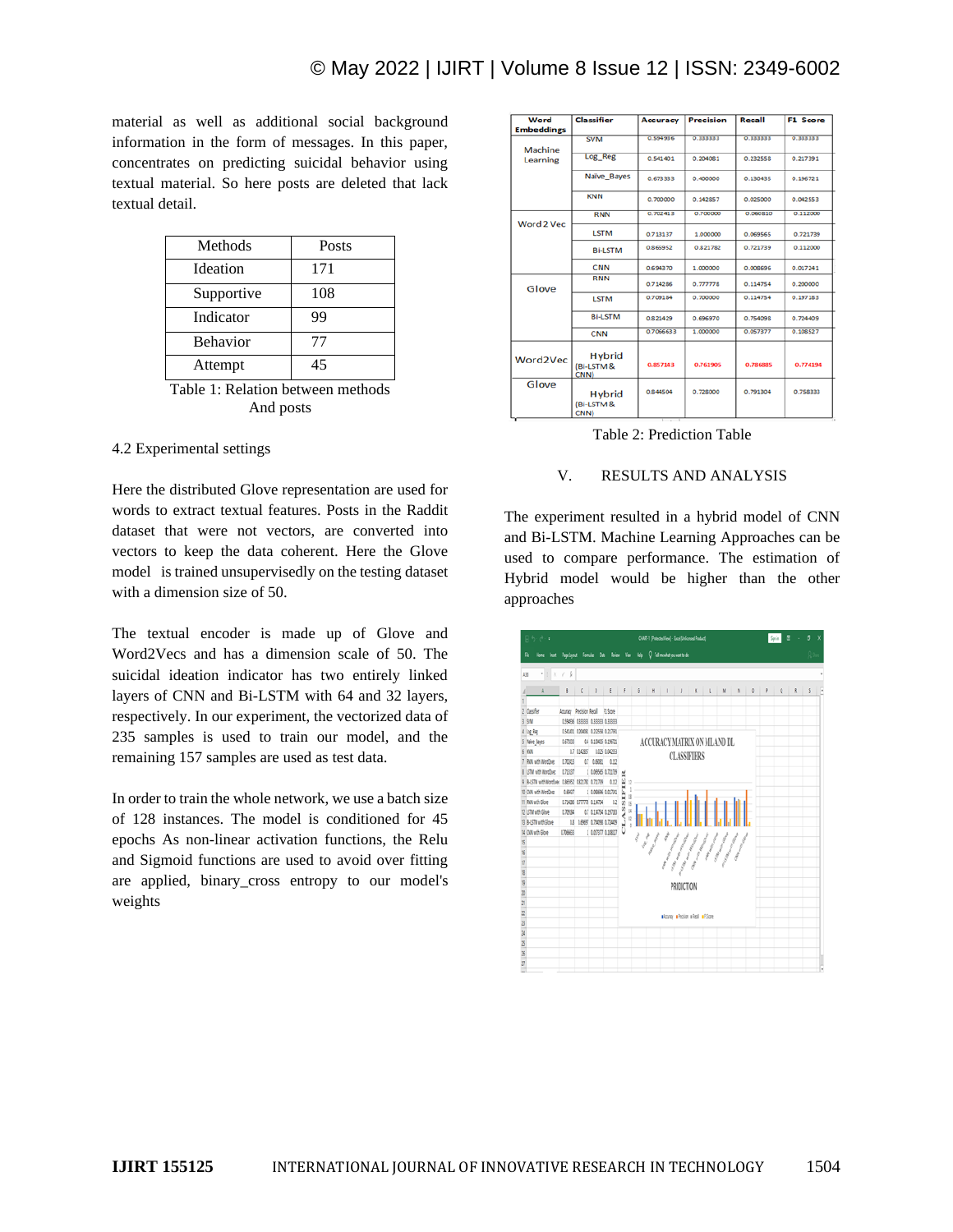material as well as additional social background information in the form of messages. In this paper, concentrates on predicting suicidal behavior using textual material. So here posts are deleted that lack textual detail.

| Methods         | Posts |
|-----------------|-------|
| <b>Ideation</b> | 171   |
| Supportive      | 108   |
| Indicator       | 99    |
| <b>Behavior</b> | 77    |
| Attempt         | 45    |

Table 1: Relation between methods And posts

#### 4.2 Experimental settings

Here the distributed Glove representation are used for words to extract textual features. Posts in the Raddit dataset that were not vectors, are converted into vectors to keep the data coherent. Here the Glove model is trained unsupervisedly on the testing dataset with a dimension size of 50.

The textual encoder is made up of Glove and Word2Vecs and has a dimension scale of 50. The suicidal ideation indicator has two entirely linked layers of CNN and Bi-LSTM with 64 and 32 layers, respectively. In our experiment, the vectorized data of 235 samples is used to train our model, and the remaining 157 samples are used as test data.

In order to train the whole network, we use a batch size of 128 instances. The model is conditioned for 45 epochs As non-linear activation functions, the Relu and Sigmoid functions are used to avoid over fitting are applied, binary\_cross entropy to our model's weights

| Word<br><b>Embeddings</b> | Classifier                          | Accuracy  | <b>Precision</b> | Recall   | <b>F1 Score</b> |
|---------------------------|-------------------------------------|-----------|------------------|----------|-----------------|
| Machine                   | <b>SVM</b>                          | 0.594936  | 0.333333         | 0.333333 | 0.333333        |
| Learning                  | Log_Reg                             | 0.541401  | 0.204081         | 0.232558 | 0.217391        |
|                           | Naïve Bayes                         | 0.673333  | 0.400000         | 0.130435 | 0.196721        |
|                           | <b>KNN</b>                          | 0.700000  | 0.142857         | 0.025000 | 0.042553        |
| Word 2 Vec                | <b>RNN</b>                          | 0.702413  | 0.700000         | 0.060810 | 0.112000        |
|                           | <b>LSTM</b>                         | 0.713137  | 1.000000         | 0.069565 | 0.721739        |
|                           | <b>Bi-LSTM</b>                      | 0.865952  | 0.821782         | 0.721739 | 0.112000        |
|                           | CNN                                 | 0.694370  | 1.000000         | 363800.0 | 0.017241        |
| Glove                     | <b>RNN</b>                          | 0.714286  | 0.777778         | 0.114754 | 0.200000        |
|                           | <b>LSTM</b>                         | 0.709184  | 0.700000         | 0.114754 | 0.197183        |
|                           | <b>Bi-LSTM</b>                      | 0.821429  | 0.696970         | 0.754098 | 0.724409        |
|                           | <b>CNN</b>                          | 0.7066633 | 1.000000         | 0.057377 | 0.108527        |
| Word2Vec                  | <b>Hybrid</b><br>(Bi-LSTM &<br>CNN) | 0.857143  | 0.761905         | 0.786885 | 0.774194        |
| Glove                     | <b>Hybrid</b><br>(Bi-LSTM &<br>CNN) | 0.844504  | 0.728000         | 0.791304 | 0.758333        |

Table 2: Prediction Table

## V. RESULTS AND ANALYSIS

The experiment resulted in a hybrid model of CNN and Bi-LSTM. Machine Learning Approaches can be used to compare performance. The estimation of Hybrid model would be higher than the other approaches

|                                | $\overline{H}$ $\overline{h}$ $\cdot$ $\overline{e}$ $\cdot$ $\overline{e}$ |                                     |                           |            |                                                                |                      |                 |                  |            | CHAT-1 Protect liew] - Exal Unicersed Poduct |   |   |          |              | Spin        | ε | đ |   |
|--------------------------------|-----------------------------------------------------------------------------|-------------------------------------|---------------------------|------------|----------------------------------------------------------------|----------------------|-----------------|------------------|------------|----------------------------------------------|---|---|----------|--------------|-------------|---|---|---|
|                                | R                                                                           |                                     |                           |            | Replayed Formula: Dda Review View Help Q Tellmewhatyouwanttode |                      |                 |                  |            |                                              |   |   |          |              |             |   |   |   |
|                                | $\cdot$ : $\times$ $\vee$ $\frac{1}{2}$<br>436                              |                                     |                           |            |                                                                |                      |                 |                  |            |                                              |   |   |          |              |             |   |   |   |
|                                |                                                                             |                                     |                           |            |                                                                |                      |                 |                  |            |                                              |   |   |          |              |             |   |   |   |
|                                |                                                                             | B                                   |                           |            |                                                                |                      |                 |                  |            | $C$ 0 E F 6 B 1 J K L                        | M | N | $\theta$ | $\mathbb{R}$ | $\mathbb Q$ | R |   | × |
|                                | 2 Clasher                                                                   | Accuracy Precision Recall FLScore   |                           |            |                                                                |                      |                 |                  |            |                                              |   |   |          |              |             |   |   |   |
|                                | 3.5M                                                                        | 0.594936 0.333333 0.333333 0.333333 |                           |            |                                                                |                      |                 |                  |            |                                              |   |   |          |              |             |   |   |   |
|                                | 4 Log Reg                                                                   |                                     |                           |            | 0.541401 0.204081 0.202558 0.217991                            |                      |                 |                  |            |                                              |   |   |          |              |             |   |   |   |
|                                |                                                                             | 1,57333                             |                           |            | 04 018985 019672                                               |                      |                 |                  |            | ACCURACY MATRIX ON MLAND DL                  |   |   |          |              |             |   |   |   |
|                                | 5 Nave Bayes<br>6 <sub>1</sub>                                              |                                     | 0.7 0.142857              |            | 0.025 0.04253                                                  |                      |                 |                  |            |                                              |   |   |          |              |             |   |   |   |
|                                | 7 RW with Worldvec                                                          | 0.7043                              |                           | 0.7 0.0600 | 0.02                                                           |                      |                 |                  |            | <b>CLASSIFIERS</b>                           |   |   |          |              |             |   |   |   |
|                                | 8 STM with WorlDies                                                         | 073137                              |                           |            | 1 00856 07175                                                  |                      |                 |                  |            |                                              |   |   |          |              |             |   |   |   |
|                                | 9 B-LSTM with Worldwer                                                      |                                     | 0.86562 0.821762 0.721759 |            | 0.112                                                          | 껇<br>12              |                 |                  |            |                                              |   |   |          |              |             |   |   |   |
|                                | 10 CM with WordVec                                                          | 1887                                |                           |            | 1 000896 000720                                                | <b>SSIFIE</b><br>I,  |                 |                  |            |                                              |   |   |          |              |             |   |   |   |
|                                | 11 RW with Slove                                                            |                                     | 0.754296 0.77778 0.114754 |            | $\mathfrak{a}$                                                 | $\bar{u}$            |                 |                  |            |                                              |   |   |          |              |             |   |   |   |
|                                | 12 STM with Glove                                                           | 0.78184                             |                           |            | 07 0114754 015718                                              | $\frac{15}{25}$<br>u |                 |                  |            |                                              |   |   |          |              |             |   |   |   |
|                                | 13 B-LSTM with Glove                                                        |                                     |                           |            | 0.8 0.8697 0.75499 0.72449                                     | $\mathfrak{r}$       |                 |                  |            |                                              |   |   |          |              |             |   |   |   |
|                                | 14 CW with Slove                                                            | 0.706633                            |                           |            | 1 0057977 0.108527                                             |                      |                 |                  |            |                                              |   |   |          |              |             |   |   |   |
|                                |                                                                             |                                     |                           |            |                                                                |                      | $\hat{\vec{c}}$ | لي طبيع<br>موسيع |            | $\eta \mu \bar{\eta} \bar{\eta}$             |   |   |          |              |             |   |   |   |
|                                |                                                                             |                                     |                           |            |                                                                |                      |                 |                  |            |                                              |   |   |          |              |             |   |   |   |
|                                |                                                                             |                                     |                           |            |                                                                |                      |                 |                  |            |                                              |   |   |          |              |             |   |   |   |
|                                |                                                                             |                                     |                           |            |                                                                |                      |                 |                  |            |                                              |   |   |          |              |             |   |   |   |
| Ŋ                              |                                                                             |                                     |                           |            |                                                                |                      |                 |                  |            |                                              |   |   |          |              |             |   |   |   |
|                                |                                                                             |                                     |                           |            |                                                                |                      |                 |                  | PRIDICTION |                                              |   |   |          |              |             |   |   |   |
|                                |                                                                             |                                     |                           |            |                                                                |                      |                 |                  |            |                                              |   |   |          |              |             |   |   |   |
|                                |                                                                             |                                     |                           |            |                                                                |                      |                 |                  |            |                                              |   |   |          |              |             |   |   |   |
|                                |                                                                             |                                     |                           |            |                                                                |                      |                 |                  |            | alcony ahelie allest affibre                 |   |   |          |              |             |   |   |   |
|                                |                                                                             |                                     |                           |            |                                                                |                      |                 |                  |            |                                              |   |   |          |              |             |   |   |   |
|                                |                                                                             |                                     |                           |            |                                                                |                      |                 |                  |            |                                              |   |   |          |              |             |   |   |   |
| <b>CI BK DK B2 D3 B3 D3 B3</b> |                                                                             |                                     |                           |            |                                                                |                      |                 |                  |            |                                              |   |   |          |              |             |   |   |   |
|                                |                                                                             |                                     |                           |            |                                                                |                      |                 |                  |            |                                              |   |   |          |              |             |   |   |   |
| ū                              |                                                                             |                                     |                           |            |                                                                |                      |                 |                  |            |                                              |   |   |          |              |             |   |   | v |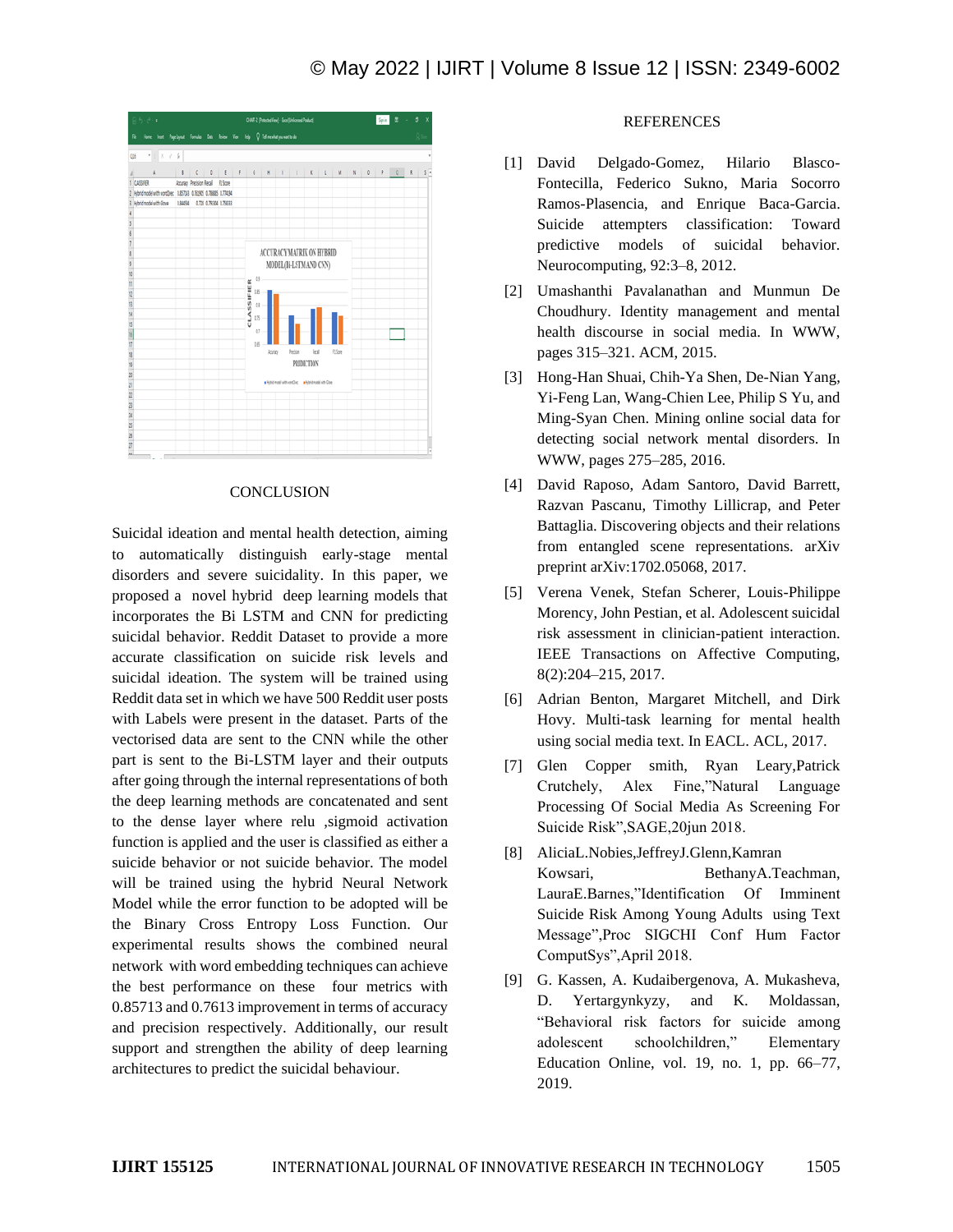

#### **CONCLUSION**

Suicidal ideation and mental health detection, aiming to automatically distinguish early-stage mental disorders and severe suicidality. In this paper, we proposed a novel hybrid deep learning models that incorporates the Bi LSTM and CNN for predicting suicidal behavior. Reddit Dataset to provide a more accurate classification on suicide risk levels and suicidal ideation. The system will be trained using Reddit data set in which we have 500 Reddit user posts with Labels were present in the dataset. Parts of the vectorised data are sent to the CNN while the other part is sent to the Bi-LSTM layer and their outputs after going through the internal representations of both the deep learning methods are concatenated and sent to the dense layer where relu ,sigmoid activation function is applied and the user is classified as either a suicide behavior or not suicide behavior. The model will be trained using the hybrid Neural Network Model while the error function to be adopted will be the Binary Cross Entropy Loss Function. Our experimental results shows the combined neural network with word embedding techniques can achieve the best performance on these four metrics with 0.85713 and 0.7613 improvement in terms of accuracy and precision respectively. Additionally, our result support and strengthen the ability of deep learning architectures to predict the suicidal behaviour.

### **REFERENCES**

- [1] David Delgado-Gomez, Hilario Blasco-Fontecilla, Federico Sukno, Maria Socorro Ramos-Plasencia, and Enrique Baca-Garcia. Suicide attempters classification: Toward predictive models of suicidal behavior. Neurocomputing, 92:3–8, 2012.
- [2] Umashanthi Pavalanathan and Munmun De Choudhury. Identity management and mental health discourse in social media. In WWW, pages 315–321. ACM, 2015.
- [3] Hong-Han Shuai, Chih-Ya Shen, De-Nian Yang, Yi-Feng Lan, Wang-Chien Lee, Philip S Yu, and Ming-Syan Chen. Mining online social data for detecting social network mental disorders. In WWW, pages 275–285, 2016.
- [4] David Raposo, Adam Santoro, David Barrett, Razvan Pascanu, Timothy Lillicrap, and Peter Battaglia. Discovering objects and their relations from entangled scene representations. arXiv preprint arXiv:1702.05068, 2017.
- [5] Verena Venek, Stefan Scherer, Louis-Philippe Morency, John Pestian, et al. Adolescent suicidal risk assessment in clinician-patient interaction. IEEE Transactions on Affective Computing, 8(2):204–215, 2017.
- [6] Adrian Benton, Margaret Mitchell, and Dirk Hovy. Multi-task learning for mental health using social media text. In EACL. ACL, 2017.
- [7] Glen Copper smith, Ryan Leary,Patrick Crutchely, Alex Fine,"Natural Language Processing Of Social Media As Screening For Suicide Risk",SAGE,20jun 2018.
- [8] AliciaL.Nobies,JeffreyJ.Glenn,Kamran Kowsari, BethanyA.Teachman, LauraE.Barnes,"Identification Of Imminent Suicide Risk Among Young Adults using Text Message",Proc SIGCHI Conf Hum Factor ComputSys",April 2018.
- [9] G. Kassen, A. Kudaibergenova, A. Mukasheva, D. Yertargynkyzy, and K. Moldassan, "Behavioral risk factors for suicide among adolescent schoolchildren," Elementary Education Online, vol. 19, no. 1, pp. 66–77, 2019.